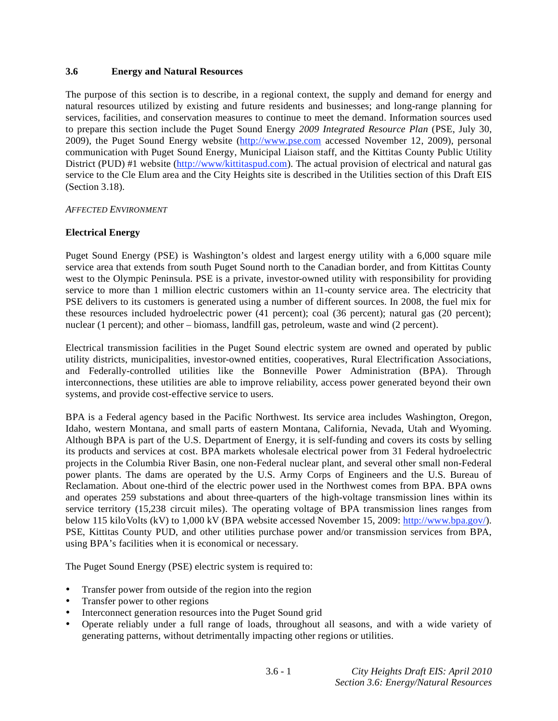### **3.6 Energy and Natural Resources**

The purpose of this section is to describe, in a regional context, the supply and demand for energy and natural resources utilized by existing and future residents and businesses; and long-range planning for services, facilities, and conservation measures to continue to meet the demand. Information sources used to prepare this section include the Puget Sound Energy *2009 Integrated Resource Plan* (PSE, July 30, 2009), the Puget Sound Energy website (http://www.pse.com accessed November 12, 2009), personal communication with Puget Sound Energy, Municipal Liaison staff, and the Kittitas County Public Utility District (PUD) #1 website (http://www/kittitaspud.com). The actual provision of electrical and natural gas service to the Cle Elum area and the City Heights site is described in the Utilities section of this Draft EIS (Section 3.18).

### *AFFECTED ENVIRONMENT*

### **Electrical Energy**

Puget Sound Energy (PSE) is Washington's oldest and largest energy utility with a 6,000 square mile service area that extends from south Puget Sound north to the Canadian border, and from Kittitas County west to the Olympic Peninsula. PSE is a private, investor-owned utility with responsibility for providing service to more than 1 million electric customers within an 11-county service area. The electricity that PSE delivers to its customers is generated using a number of different sources. In 2008, the fuel mix for these resources included hydroelectric power (41 percent); coal (36 percent); natural gas (20 percent); nuclear (1 percent); and other – biomass, landfill gas, petroleum, waste and wind (2 percent).

Electrical transmission facilities in the Puget Sound electric system are owned and operated by public utility districts, municipalities, investor-owned entities, cooperatives, Rural Electrification Associations, and Federally-controlled utilities like the Bonneville Power Administration (BPA). Through interconnections, these utilities are able to improve reliability, access power generated beyond their own systems, and provide cost-effective service to users.

BPA is a Federal agency based in the Pacific Northwest. Its service area includes Washington, Oregon, Idaho, western Montana, and small parts of eastern Montana, California, Nevada, Utah and Wyoming. Although BPA is part of the U.S. Department of Energy, it is self-funding and covers its costs by selling its products and services at cost. BPA markets wholesale electrical power from 31 Federal hydroelectric projects in the Columbia River Basin, one non-Federal nuclear plant, and several other small non-Federal power plants. The dams are operated by the U.S. Army Corps of Engineers and the U.S. Bureau of Reclamation. About one-third of the electric power used in the Northwest comes from BPA. BPA owns and operates 259 substations and about three-quarters of the high-voltage transmission lines within its service territory (15,238 circuit miles). The operating voltage of BPA transmission lines ranges from below 115 kilo Volts (kV) to 1,000 kV (BPA website accessed November 15, 2009: http://www.bpa.gov/). PSE, Kittitas County PUD, and other utilities purchase power and/or transmission services from BPA, using BPA's facilities when it is economical or necessary.

The Puget Sound Energy (PSE) electric system is required to:

- Transfer power from outside of the region into the region
- Transfer power to other regions
- Interconnect generation resources into the Puget Sound grid
- Operate reliably under a full range of loads, throughout all seasons, and with a wide variety of generating patterns, without detrimentally impacting other regions or utilities.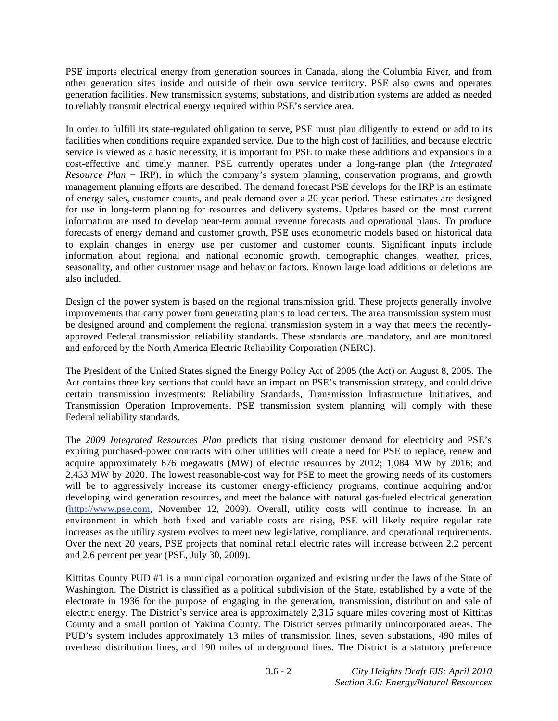PSE imports electrical energy from generation sources in Canada, along the Columbia River, and from other generation sites inside and outside of their own service territory. PSE also owns and operates generation facilities. New transmission systems, substations, and distribution systems are added as needed to reliably transmit electrical energy required within PSE's service area.

In order to fulfill its state-regulated obligation to serve, PSE must plan diligently to extend or add to its facilities when conditions require expanded service. Due to the high cost of facilities, and because electric service is viewed as a basic necessity, it is important for PSE to make these additions and expansions in a cost-effective and timely manner. PSE currently operates under a long-range plan (the *Integrated Resource Plan* – IRP), in which the company's system planning, conservation programs, and growth management planning efforts are described. The demand forecast PSE develops for the IRP is an estimate of energy sales, customer counts, and peak demand over a 20-year period. These estimates are designed for use in long-term planning for resources and delivery systems. Updates based on the most current information are used to develop near-term annual revenue forecasts and operational plans. To produce forecasts of energy demand and customer growth, PSE uses econometric models based on historical data to explain changes in energy use per customer and customer counts. Significant inputs include information about regional and national economic growth, demographic changes, weather, prices, seasonality, and other customer usage and behavior factors. Known large load additions or deletions are also included.

Design of the power system is based on the regional transmission grid. These projects generally involve improvements that carry power from generating plants to load centers. The area transmission system must be designed around and complement the regional transmission system in a way that meets the recentlyapproved Federal transmission reliability standards. These standards are mandatory, and are monitored and enforced by the North America Electric Reliability Corporation (NERC).

The President of the United States signed the Energy Policy Act of 2005 (the Act) on August 8, 2005. The Act contains three key sections that could have an impact on PSE's transmission strategy, and could drive certain transmission investments: Reliability Standards, Transmission Infrastructure Initiatives, and Transmission Operation Improvements. PSE transmission system planning will comply with these Federal reliability standards.

The *2009 Integrated Resources Plan* predicts that rising customer demand for electricity and PSE's expiring purchased-power contracts with other utilities will create a need for PSE to replace, renew and acquire approximately 676 megawatts (MW) of electric resources by 2012; 1,084 MW by 2016; and 2,453 MW by 2020. The lowest reasonable-cost way for PSE to meet the growing needs of its customers will be to aggressively increase its customer energy-efficiency programs, continue acquiring and/or developing wind generation resources, and meet the balance with natural gas-fueled electrical generation (http://www.pse.com, November 12, 2009). Overall, utility costs will continue to increase. In an environment in which both fixed and variable costs are rising, PSE will likely require regular rate increases as the utility system evolves to meet new legislative, compliance, and operational requirements. Over the next 20 years, PSE projects that nominal retail electric rates will increase between 2.2 percent and 2.6 percent per year (PSE, July 30, 2009).

Kittitas County PUD #1 is a municipal corporation organized and existing under the laws of the State of Washington. The District is classified as a political subdivision of the State, established by a vote of the electorate in 1936 for the purpose of engaging in the generation, transmission, distribution and sale of electric energy. The District's service area is approximately 2,315 square miles covering most of Kittitas County and a small portion of Yakima County. The District serves primarily unincorporated areas. The PUD's system includes approximately 13 miles of transmission lines, seven substations, 490 miles of overhead distribution lines, and 190 miles of underground lines. The District is a statutory preference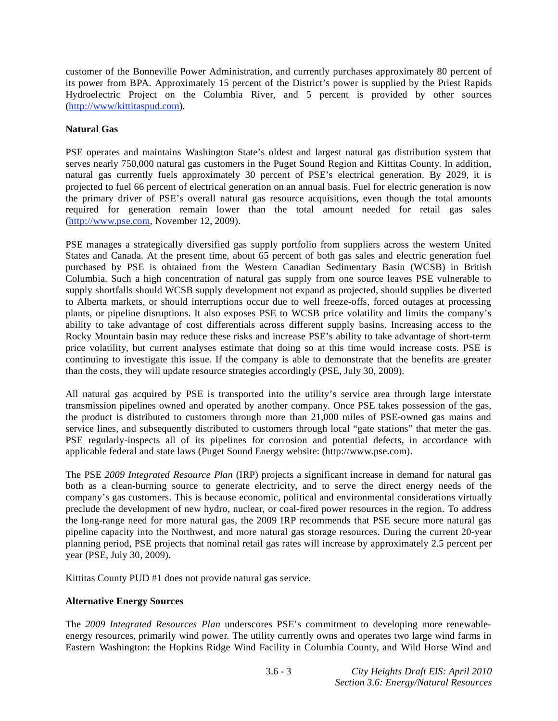customer of the Bonneville Power Administration, and currently purchases approximately 80 percent of its power from BPA. Approximately 15 percent of the District's power is supplied by the Priest Rapids Hydroelectric Project on the Columbia River, and 5 percent is provided by other sources (http://www/kittitaspud.com).

## **Natural Gas**

PSE operates and maintains Washington State's oldest and largest natural gas distribution system that serves nearly 750,000 natural gas customers in the Puget Sound Region and Kittitas County. In addition, natural gas currently fuels approximately 30 percent of PSE's electrical generation. By 2029, it is projected to fuel 66 percent of electrical generation on an annual basis. Fuel for electric generation is now the primary driver of PSE's overall natural gas resource acquisitions, even though the total amounts required for generation remain lower than the total amount needed for retail gas sales (http://www.pse.com, November 12, 2009).

PSE manages a strategically diversified gas supply portfolio from suppliers across the western United States and Canada. At the present time, about 65 percent of both gas sales and electric generation fuel purchased by PSE is obtained from the Western Canadian Sedimentary Basin (WCSB) in British Columbia. Such a high concentration of natural gas supply from one source leaves PSE vulnerable to supply shortfalls should WCSB supply development not expand as projected, should supplies be diverted to Alberta markets, or should interruptions occur due to well freeze-offs, forced outages at processing plants, or pipeline disruptions. It also exposes PSE to WCSB price volatility and limits the company's ability to take advantage of cost differentials across different supply basins. Increasing access to the Rocky Mountain basin may reduce these risks and increase PSE's ability to take advantage of short-term price volatility, but current analyses estimate that doing so at this time would increase costs. PSE is continuing to investigate this issue. If the company is able to demonstrate that the benefits are greater than the costs, they will update resource strategies accordingly (PSE, July 30, 2009).

All natural gas acquired by PSE is transported into the utility's service area through large interstate transmission pipelines owned and operated by another company. Once PSE takes possession of the gas, the product is distributed to customers through more than 21,000 miles of PSE-owned gas mains and service lines, and subsequently distributed to customers through local "gate stations" that meter the gas. PSE regularly-inspects all of its pipelines for corrosion and potential defects, in accordance with applicable federal and state laws (Puget Sound Energy website: (http://www.pse.com).

The PSE *2009 Integrated Resource Plan* (IRP) projects a significant increase in demand for natural gas both as a clean-burning source to generate electricity, and to serve the direct energy needs of the company's gas customers. This is because economic, political and environmental considerations virtually preclude the development of new hydro, nuclear, or coal-fired power resources in the region. To address the long-range need for more natural gas, the 2009 IRP recommends that PSE secure more natural gas pipeline capacity into the Northwest, and more natural gas storage resources. During the current 20-year planning period, PSE projects that nominal retail gas rates will increase by approximately 2.5 percent per year (PSE, July 30, 2009).

Kittitas County PUD #1 does not provide natural gas service.

# **Alternative Energy Sources**

The *2009 Integrated Resources Plan* underscores PSE's commitment to developing more renewableenergy resources, primarily wind power. The utility currently owns and operates two large wind farms in Eastern Washington: the Hopkins Ridge Wind Facility in Columbia County, and Wild Horse Wind and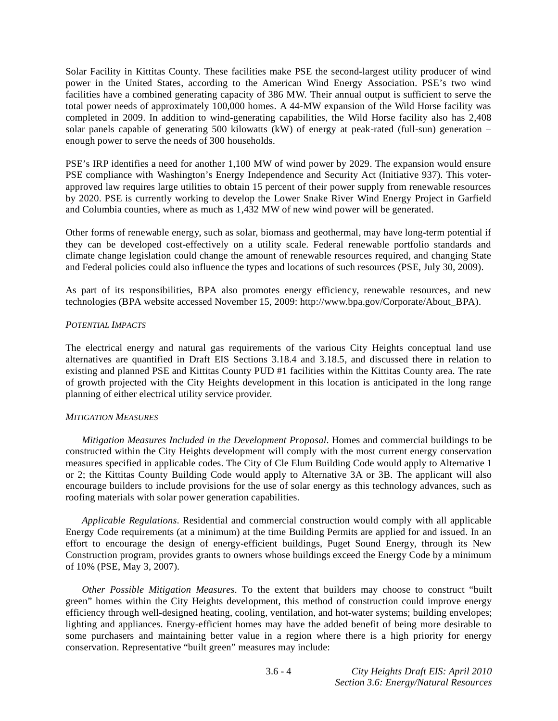Solar Facility in Kittitas County. These facilities make PSE the second-largest utility producer of wind power in the United States, according to the American Wind Energy Association. PSE's two wind facilities have a combined generating capacity of 386 MW. Their annual output is sufficient to serve the total power needs of approximately 100,000 homes. A 44-MW expansion of the Wild Horse facility was completed in 2009. In addition to wind-generating capabilities, the Wild Horse facility also has 2,408 solar panels capable of generating 500 kilowatts (kW) of energy at peak-rated (full-sun) generation – enough power to serve the needs of 300 households.

PSE's IRP identifies a need for another 1,100 MW of wind power by 2029. The expansion would ensure PSE compliance with Washington's Energy Independence and Security Act (Initiative 937). This voterapproved law requires large utilities to obtain 15 percent of their power supply from renewable resources by 2020. PSE is currently working to develop the Lower Snake River Wind Energy Project in Garfield and Columbia counties, where as much as 1,432 MW of new wind power will be generated.

Other forms of renewable energy, such as solar, biomass and geothermal, may have long-term potential if they can be developed cost-effectively on a utility scale. Federal renewable portfolio standards and climate change legislation could change the amount of renewable resources required, and changing State and Federal policies could also influence the types and locations of such resources (PSE, July 30, 2009).

As part of its responsibilities, BPA also promotes energy efficiency, renewable resources, and new technologies (BPA website accessed November 15, 2009: http://www.bpa.gov/Corporate/About\_BPA).

### *POTENTIAL IMPACTS*

The electrical energy and natural gas requirements of the various City Heights conceptual land use alternatives are quantified in Draft EIS Sections 3.18.4 and 3.18.5, and discussed there in relation to existing and planned PSE and Kittitas County PUD #1 facilities within the Kittitas County area. The rate of growth projected with the City Heights development in this location is anticipated in the long range planning of either electrical utility service provider.

## *MITIGATION MEASURES*

*Mitigation Measures Included in the Development Proposal*. Homes and commercial buildings to be constructed within the City Heights development will comply with the most current energy conservation measures specified in applicable codes. The City of Cle Elum Building Code would apply to Alternative 1 or 2; the Kittitas County Building Code would apply to Alternative 3A or 3B. The applicant will also encourage builders to include provisions for the use of solar energy as this technology advances, such as roofing materials with solar power generation capabilities.

*Applicable Regulations*. Residential and commercial construction would comply with all applicable Energy Code requirements (at a minimum) at the time Building Permits are applied for and issued. In an effort to encourage the design of energy-efficient buildings, Puget Sound Energy, through its New Construction program, provides grants to owners whose buildings exceed the Energy Code by a minimum of 10% (PSE, May 3, 2007).

*Other Possible Mitigation Measures*. To the extent that builders may choose to construct "built green" homes within the City Heights development, this method of construction could improve energy efficiency through well-designed heating, cooling, ventilation, and hot-water systems; building envelopes; lighting and appliances. Energy-efficient homes may have the added benefit of being more desirable to some purchasers and maintaining better value in a region where there is a high priority for energy conservation. Representative "built green" measures may include: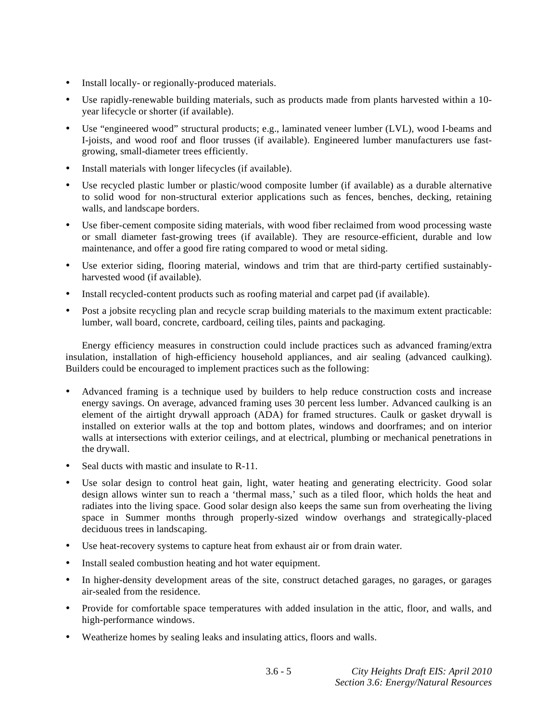- Install locally- or regionally-produced materials.
- Use rapidly-renewable building materials, such as products made from plants harvested within a 10 year lifecycle or shorter (if available).
- Use "engineered wood" structural products; e.g., laminated veneer lumber (LVL), wood I-beams and I-joists, and wood roof and floor trusses (if available). Engineered lumber manufacturers use fastgrowing, small-diameter trees efficiently.
- Install materials with longer lifecycles (if available).
- Use recycled plastic lumber or plastic/wood composite lumber (if available) as a durable alternative to solid wood for non-structural exterior applications such as fences, benches, decking, retaining walls, and landscape borders.
- Use fiber-cement composite siding materials, with wood fiber reclaimed from wood processing waste or small diameter fast-growing trees (if available). They are resource-efficient, durable and low maintenance, and offer a good fire rating compared to wood or metal siding.
- Use exterior siding, flooring material, windows and trim that are third-party certified sustainablyharvested wood (if available).
- Install recycled-content products such as roofing material and carpet pad (if available).
- Post a jobsite recycling plan and recycle scrap building materials to the maximum extent practicable: lumber, wall board, concrete, cardboard, ceiling tiles, paints and packaging.

 Energy efficiency measures in construction could include practices such as advanced framing/extra insulation, installation of high-efficiency household appliances, and air sealing (advanced caulking). Builders could be encouraged to implement practices such as the following:

- Advanced framing is a technique used by builders to help reduce construction costs and increase energy savings. On average, advanced framing uses 30 percent less lumber. Advanced caulking is an element of the airtight drywall approach (ADA) for framed structures. Caulk or gasket drywall is installed on exterior walls at the top and bottom plates, windows and doorframes; and on interior walls at intersections with exterior ceilings, and at electrical, plumbing or mechanical penetrations in the drywall.
- Seal ducts with mastic and insulate to R-11.
- Use solar design to control heat gain, light, water heating and generating electricity. Good solar design allows winter sun to reach a 'thermal mass,' such as a tiled floor, which holds the heat and radiates into the living space. Good solar design also keeps the same sun from overheating the living space in Summer months through properly-sized window overhangs and strategically-placed deciduous trees in landscaping.
- Use heat-recovery systems to capture heat from exhaust air or from drain water.
- Install sealed combustion heating and hot water equipment.
- In higher-density development areas of the site, construct detached garages, no garages, or garages air-sealed from the residence.
- Provide for comfortable space temperatures with added insulation in the attic, floor, and walls, and high-performance windows.
- Weatherize homes by sealing leaks and insulating attics, floors and walls.